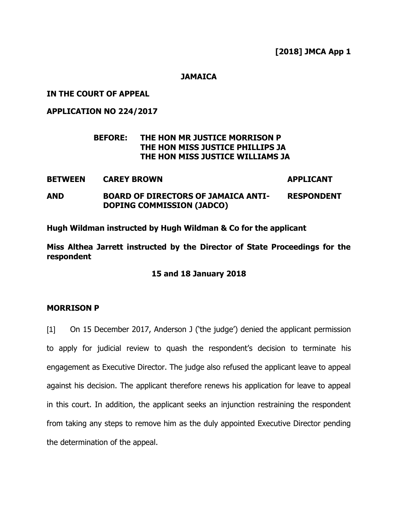### **JAMAICA**

### **IN THE COURT OF APPEAL**

**APPLICATION NO 224/2017**

## **BEFORE: THE HON MR JUSTICE MORRISON P THE HON MISS JUSTICE PHILLIPS JA THE HON MISS JUSTICE WILLIAMS JA**

**BETWEEN CAREY BROWN APPLICANT AND BOARD OF DIRECTORS OF JAMAICA ANTI-RESPONDENT**

**Hugh Wildman instructed by Hugh Wildman & Co for the applicant**

**DOPING COMMISSION (JADCO)**

**Miss Althea Jarrett instructed by the Director of State Proceedings for the respondent**

**15 and 18 January 2018**

### **MORRISON P**

[1] On 15 December 2017, Anderson J ('the judge') denied the applicant permission to apply for judicial review to quash the respondent's decision to terminate his engagement as Executive Director. The judge also refused the applicant leave to appeal against his decision. The applicant therefore renews his application for leave to appeal in this court. In addition, the applicant seeks an injunction restraining the respondent from taking any steps to remove him as the duly appointed Executive Director pending the determination of the appeal.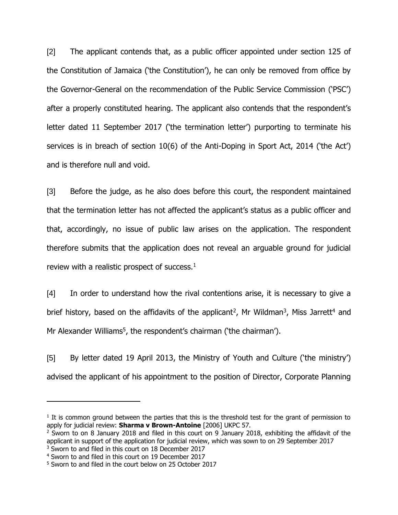[2] The applicant contends that, as a public officer appointed under section 125 of the Constitution of Jamaica ('the Constitution'), he can only be removed from office by the Governor-General on the recommendation of the Public Service Commission ('PSC') after a properly constituted hearing. The applicant also contends that the respondent's letter dated 11 September 2017 ('the termination letter') purporting to terminate his services is in breach of section 10(6) of the Anti-Doping in Sport Act, 2014 ('the Act') and is therefore null and void.

[3] Before the judge, as he also does before this court, the respondent maintained that the termination letter has not affected the applicant's status as a public officer and that, accordingly, no issue of public law arises on the application. The respondent therefore submits that the application does not reveal an arguable ground for judicial review with a realistic prospect of success.<sup>1</sup>

[4] In order to understand how the rival contentions arise, it is necessary to give a brief history, based on the affidavits of the applicant<sup>2</sup>, Mr Wildman<sup>3</sup>, Miss Jarrett<sup>4</sup> and Mr Alexander Williams<sup>5</sup>, the respondent's chairman ('the chairman').

[5] By letter dated 19 April 2013, the Ministry of Youth and Culture ('the ministry') advised the applicant of his appointment to the position of Director, Corporate Planning

 $\overline{a}$ 

 $<sup>1</sup>$  It is common ground between the parties that this is the threshold test for the grant of permission to</sup> apply for judicial review: **Sharma v Brown-Antoine** [2006] UKPC 57.

<sup>&</sup>lt;sup>2</sup> Sworn to on 8 January 2018 and filed in this court on 9 January 2018, exhibiting the affidavit of the applicant in support of the application for judicial review, which was sown to on 29 September 2017 <sup>3</sup> Sworn to and filed in this court on 18 December 2017

<sup>4</sup> Sworn to and filed in this court on 19 December 2017

<sup>5</sup> Sworn to and filed in the court below on 25 October 2017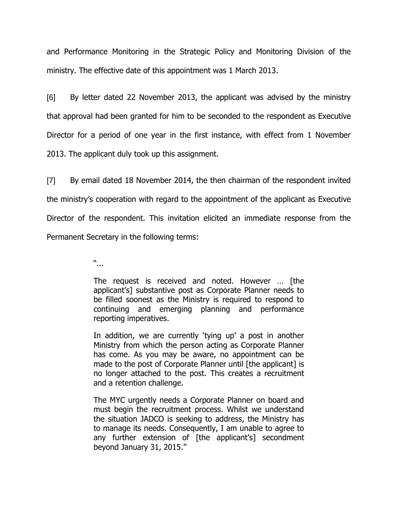and Performance Monitoring in the Strategic Policy and Monitoring Division of the ministry. The effective date of this appointment was 1 March 2013.

[6] By letter dated 22 November 2013, the applicant was advised by the ministry that approval had been granted for him to be seconded to the respondent as Executive Director for a period of one year in the first instance, with effect from 1 November 2013. The applicant duly took up this assignment.

[7] By email dated 18 November 2014, the then chairman of the respondent invited the ministry's cooperation with regard to the appointment of the applicant as Executive Director of the respondent. This invitation elicited an immediate response from the Permanent Secretary in the following terms:

"...

The request is received and noted. However … [the applicant's] substantive post as Corporate Planner needs to be filled soonest as the Ministry is required to respond to continuing and emerging planning and performance reporting imperatives.

In addition, we are currently 'tying up' a post in another Ministry from which the person acting as Corporate Planner has come. As you may be aware, no appointment can be made to the post of Corporate Planner until [the applicant] is no longer attached to the post. This creates a recruitment and a retention challenge.

The MYC urgently needs a Corporate Planner on board and must begin the recruitment process. Whilst we understand the situation JADCO is seeking to address, the Ministry has to manage its needs. Consequently, I am unable to agree to any further extension of [the applicant's] secondment beyond January 31, 2015."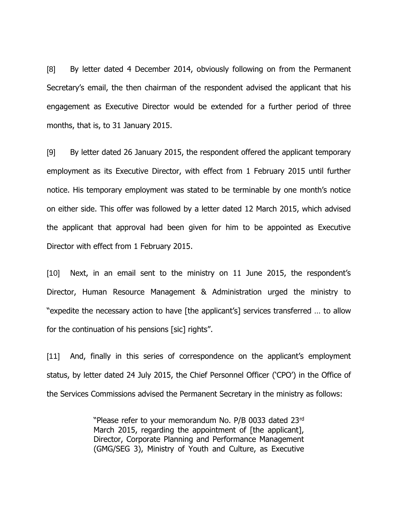[8] By letter dated 4 December 2014, obviously following on from the Permanent Secretary's email, the then chairman of the respondent advised the applicant that his engagement as Executive Director would be extended for a further period of three months, that is, to 31 January 2015.

[9] By letter dated 26 January 2015, the respondent offered the applicant temporary employment as its Executive Director, with effect from 1 February 2015 until further notice. His temporary employment was stated to be terminable by one month's notice on either side. This offer was followed by a letter dated 12 March 2015, which advised the applicant that approval had been given for him to be appointed as Executive Director with effect from 1 February 2015.

[10] Next, in an email sent to the ministry on 11 June 2015, the respondent's Director, Human Resource Management & Administration urged the ministry to "expedite the necessary action to have [the applicant's] services transferred … to allow for the continuation of his pensions [sic] rights".

[11] And, finally in this series of correspondence on the applicant's employment status, by letter dated 24 July 2015, the Chief Personnel Officer ('CPO') in the Office of the Services Commissions advised the Permanent Secretary in the ministry as follows:

> "Please refer to your memorandum No. P/B 0033 dated 23rd March 2015, regarding the appointment of [the applicant], Director, Corporate Planning and Performance Management (GMG/SEG 3), Ministry of Youth and Culture, as Executive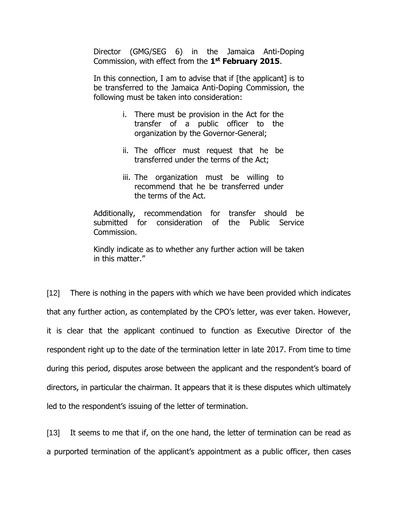Director (GMG/SEG 6) in the Jamaica Anti-Doping Commission, with effect from the **1 st February 2015**.

In this connection, I am to advise that if [the applicant] is to be transferred to the Jamaica Anti-Doping Commission, the following must be taken into consideration:

- i. There must be provision in the Act for the transfer of a public officer to the organization by the Governor-General;
- ii. The officer must request that he be transferred under the terms of the Act;
- iii. The organization must be willing to recommend that he be transferred under the terms of the Act.

Additionally, recommendation for transfer should be submitted for consideration of the Public Service Commission.

Kindly indicate as to whether any further action will be taken in this matter."

[12] There is nothing in the papers with which we have been provided which indicates that any further action, as contemplated by the CPO's letter, was ever taken. However, it is clear that the applicant continued to function as Executive Director of the respondent right up to the date of the termination letter in late 2017. From time to time during this period, disputes arose between the applicant and the respondent's board of directors, in particular the chairman. It appears that it is these disputes which ultimately led to the respondent's issuing of the letter of termination.

[13] It seems to me that if, on the one hand, the letter of termination can be read as a purported termination of the applicant's appointment as a public officer, then cases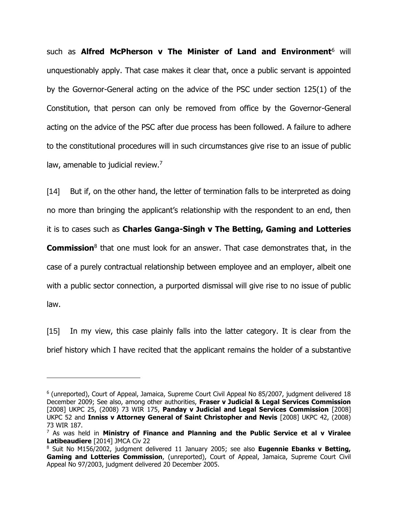such as **Alfred McPherson v The Minister of Land and Environment**<sup>6</sup> will unquestionably apply. That case makes it clear that, once a public servant is appointed by the Governor-General acting on the advice of the PSC under section 125(1) of the Constitution, that person can only be removed from office by the Governor-General acting on the advice of the PSC after due process has been followed. A failure to adhere to the constitutional procedures will in such circumstances give rise to an issue of public law, amenable to judicial review.<sup>7</sup>

[14] But if, on the other hand, the letter of termination falls to be interpreted as doing no more than bringing the applicant's relationship with the respondent to an end, then it is to cases such as **Charles Ganga-Singh v The Betting, Gaming and Lotteries Commission**<sup>8</sup> that one must look for an answer. That case demonstrates that, in the case of a purely contractual relationship between employee and an employer, albeit one

with a public sector connection, a purported dismissal will give rise to no issue of public law.

[15] In my view, this case plainly falls into the latter category. It is clear from the brief history which I have recited that the applicant remains the holder of a substantive

 $\overline{a}$ 

<sup>6</sup> (unreported), Court of Appeal, Jamaica, Supreme Court Civil Appeal No 85/2007, judgment delivered 18 December 2009; See also, among other authorities, **Fraser v Judicial & Legal Services Commission** [2008] UKPC 25, (2008) 73 WIR 175, **Panday v Judicial and Legal Services Commission** [2008] UKPC 52 and **Inniss v Attorney General of Saint Christopher and Nevis** [2008] UKPC 42, (2008) 73 WIR 187.

<sup>7</sup> As was held in **Ministry of Finance and Planning and the Public Service et al v Viralee Latibeaudiere** [2014] JMCA Civ 22

<sup>8</sup> Suit No M156/2002, judgment delivered 11 January 2005; see also **Eugennie Ebanks v Betting, Gaming and Lotteries Commission**, (unreported), Court of Appeal, Jamaica, Supreme Court Civil Appeal No 97/2003, judgment delivered 20 December 2005.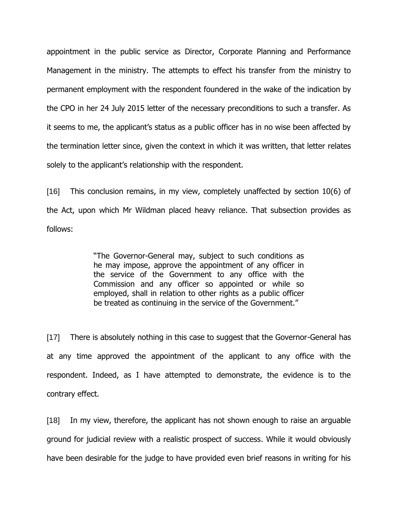appointment in the public service as Director, Corporate Planning and Performance Management in the ministry. The attempts to effect his transfer from the ministry to permanent employment with the respondent foundered in the wake of the indication by the CPO in her 24 July 2015 letter of the necessary preconditions to such a transfer. As it seems to me, the applicant's status as a public officer has in no wise been affected by the termination letter since, given the context in which it was written, that letter relates solely to the applicant's relationship with the respondent.

[16] This conclusion remains, in my view, completely unaffected by section 10(6) of the Act, upon which Mr Wildman placed heavy reliance. That subsection provides as follows:

> "The Governor-General may, subject to such conditions as he may impose, approve the appointment of any officer in the service of the Government to any office with the Commission and any officer so appointed or while so employed, shall in relation to other rights as a public officer be treated as continuing in the service of the Government."

[17] There is absolutely nothing in this case to suggest that the Governor-General has at any time approved the appointment of the applicant to any office with the respondent. Indeed, as I have attempted to demonstrate, the evidence is to the contrary effect.

[18] In my view, therefore, the applicant has not shown enough to raise an arguable ground for judicial review with a realistic prospect of success. While it would obviously have been desirable for the judge to have provided even brief reasons in writing for his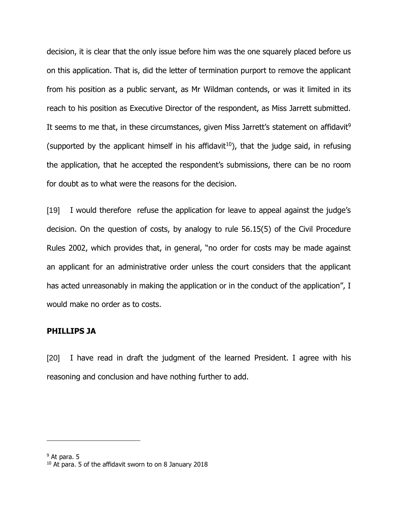decision, it is clear that the only issue before him was the one squarely placed before us on this application. That is, did the letter of termination purport to remove the applicant from his position as a public servant, as Mr Wildman contends, or was it limited in its reach to his position as Executive Director of the respondent, as Miss Jarrett submitted. It seems to me that, in these circumstances, given Miss Jarrett's statement on affidavit<sup>9</sup> (supported by the applicant himself in his affidavit<sup>10</sup>), that the judge said, in refusing the application, that he accepted the respondent's submissions, there can be no room for doubt as to what were the reasons for the decision.

[19] I would therefore refuse the application for leave to appeal against the judge's decision. On the question of costs, by analogy to rule 56.15(5) of the Civil Procedure Rules 2002, which provides that, in general, "no order for costs may be made against an applicant for an administrative order unless the court considers that the applicant has acted unreasonably in making the application or in the conduct of the application", I would make no order as to costs.

#### **PHILLIPS JA**

[20] I have read in draft the judgment of the learned President. I agree with his reasoning and conclusion and have nothing further to add.

 $\overline{a}$ 

 $9$  At para. 5

<sup>&</sup>lt;sup>10</sup> At para. 5 of the affidavit sworn to on 8 January 2018